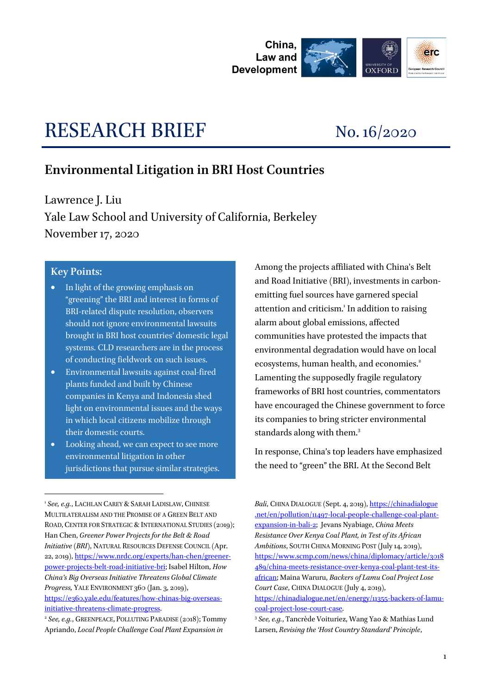

# RESEARCH BRIEF No. 16/2020

## **Environmental Litigation in BRI Host Countries**

Lawrence J. Liu Yale Law School and University of California, Berkeley November 17, 2020

#### **Key Points:**

<u>.</u>

- In light of the growing emphasis on "greening" the BRI and interest in forms of BRI-related dispute resolution, observers should not ignore environmental lawsuits brought in BRI host countries' domestic legal systems. CLD researchers are in the process of conducting fieldwork on such issues.
- Environmental lawsuits against coal-fired plants funded and built by Chinese companies in Kenya and Indonesia shed light on environmental issues and the ways in which local citizens mobilize through their domestic courts.
- Looking ahead, we can expect to see more environmental litigation in other jurisdictions that pursue similar strategies.

Among the projects affiliated with China's Belt and Road Initiative (BRI), investments in carbonemitting fuel sources have garnered special attention and criticism.<sup>1</sup> In addition to raising alarm about global emissions, affected communities have protested the impacts that environmental degradation would have on local ecosystems, human health, and economies.<sup>2</sup> Lamenting the supposedly fragile regulatory frameworks of BRI host countries, commentators have encouraged the Chinese government to force its companies to bring stricter environmental standards along with them.<sup>3</sup>

<span id="page-0-0"></span>In response, China's top leaders have emphasized the need to "green" the BRI. At the Second Belt

*Bali*, CHINA DIALOGUE (Sept. 4, 2019), https://chinadialogue .net/en/pollution/11497-local-people-challenge-coal-plantexpansion-in-bali-2; Jevans Nyabiage, *China Meets Resistance Over Kenya Coal Plant, in Test of its African Ambitions*, SOUTH CHINA MORNING POST (July 14, 2019), [https://www.scmp.com/news/china/diplomacy/article/3018](https://www.scmp.com/news/china/diplomacy/article/3018489/china-meets-resistance-over-kenya-coal-plant-test-its-african) [489/china-meets-resistance-over-kenya-coal-plant-test-its](https://www.scmp.com/news/china/diplomacy/article/3018489/china-meets-resistance-over-kenya-coal-plant-test-its-african)[african;](https://www.scmp.com/news/china/diplomacy/article/3018489/china-meets-resistance-over-kenya-coal-plant-test-its-african) Maina Waruru, *Backers of Lamu Coal Project Lose Court Case*, CHINA DIALOGUE (July 4, 2019),

[https://chinadialogue.net/en/energy/11355-backers-of-lamu](https://chinadialogue.net/en/energy/11355-backers-of-lamu-coal-project-lose-court-case)[coal-project-lose-court-case.](https://chinadialogue.net/en/energy/11355-backers-of-lamu-coal-project-lose-court-case) 

<sup>&</sup>lt;sup>1</sup> See, e.g., LACHLAN CAREY & SARAH LADISLAW, CHINESE MULTILATERALISM AND THE PROMISE OF A GREEN BELT AND ROAD, CENTER FOR STRATEGIC & INTERNATIONAL STUDIES (2019); Han Chen, *Greener Power Projects for the Belt & Road Initiative (BRI)*, NATURAL RESOURCES DEFENSE COUNCIL (Apr. 22, 2019)[, https://www.nrdc.org/experts/han-chen/greener](https://www.nrdc.org/experts/han-chen/greener-power-projects-belt-road-initiative-bri)[power-projects-belt-road-initiative-bri;](https://www.nrdc.org/experts/han-chen/greener-power-projects-belt-road-initiative-bri) Isabel Hilton, *How China's Big Overseas Initiative Threatens Global Climate Progress,* YALE ENVIRONMENT 360 (Jan. 3, 2019), [https://e360.yale.edu/features/how-chinas-big-overseas](https://e360.yale.edu/features/how-chinas-big-overseas-initiative-threatens-climate-progress)[initiative-threatens-climate-progress.](https://e360.yale.edu/features/how-chinas-big-overseas-initiative-threatens-climate-progress)

<sup>&</sup>lt;sup>2</sup> See, e.g., GREENPEACE, POLLUTING PARADISE (2018); Tommy Apriando, *Local People Challenge Coal Plant Expansion in* 

<sup>3</sup> *See, e.g.*, Tancrède Voituriez, Wang Yao & Mathias Lund Larsen, *Revising the 'Host Country Standard' Principle*,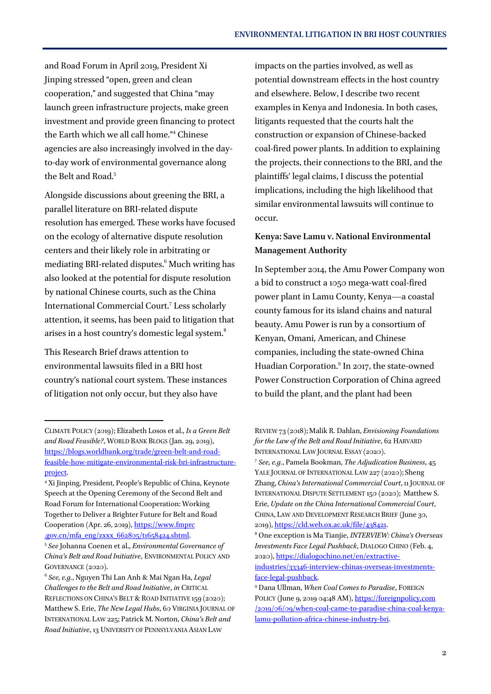and Road Forum in April 2019, President Xi Jinping stressed "open, green and clean cooperation," and suggested that China "may launch green infrastructure projects, make green investment and provide green financing to protect the Earth which we all call home."<sup>4</sup> Chinese agencies are also increasingly involved in the dayto-day work of environmental governance along the Belt and Road.<sup>5</sup>

Alongside discussions about greening the BRI, a parallel literature on BRI-related dispute resolution has emerged. These works have focused on the ecology of alternative dispute resolution centers and their likely role in arbitrating or mediating BRI-related disputes.<sup>6</sup> Much writing has also looked at the potential for dispute resolution by national Chinese courts, such as the China International Commercial Court.<sup>7</sup> Less scholarly attention, it seems, has been paid to litigation that arises in a host country's domestic legal system.<sup>8</sup>

This Research Brief draws attention to environmental lawsuits filed in a BRI host country's national court system. These instances of litigation not only occur, but they also have

<u>.</u>

impacts on the parties involved, as well as potential downstream effects in the host country and elsewhere. Below, I describe two recent examples in Kenya and Indonesia. In both cases, litigants requested that the courts halt the construction or expansion of Chinese-backed coal-fired power plants. In addition to explaining the projects, their connections to the BRI, and the plaintiffs' legal claims, I discuss the potential implications, including the high likelihood that similar environmental lawsuits will continue to occur.

### **Kenya: Save Lamu v. National Environmental Management Authority**

<span id="page-1-0"></span>In September 2014, the Amu Power Company won a bid to construct a 1050 mega-watt coal-fired power plant in Lamu County, Kenya—a coastal county famous for its island chains and natural beauty. Amu Power is run by a consortium of Kenyan, Omani, American, and Chinese companies, including the state-owned China Huadian Corporation.<sup>9</sup> In 2017, the state-owned Power Construction Corporation of China agreed to build the plant, and the plant had been

CLIMATE POLICY (2019); Elizabeth Losos et al., *Is a Green Belt and Road Feasible?*, WORLD BANK BLOGS (Jan. 29, 2019), [https://blogs.worldbank.org/trade/green-belt-and-road](https://blogs.worldbank.org/trade/green-belt-and-road-feasible-how-mitigate-environmental-risk-bri-infrastructure-project)[feasible-how-mitigate-environmental-risk-bri-infrastructure](https://blogs.worldbank.org/trade/green-belt-and-road-feasible-how-mitigate-environmental-risk-bri-infrastructure-project)[project.](https://blogs.worldbank.org/trade/green-belt-and-road-feasible-how-mitigate-environmental-risk-bri-infrastructure-project)

<sup>4</sup> Xi Jinping, President, People's Republic of China, Keynote Speech at the Opening Ceremony of the Second Belt and Road Forum for International Cooperation: Working Together to Deliver a Brighter Future for Belt and Road Cooperation (Apr. 26, 2019), [https://www.fmprc](https://www.fmprc.gov.cn/mfa_eng/zxxx_662805/t1658424.shtml) [.gov.cn/mfa\\_eng/zxxx\\_662805/t1658424.shtml.](https://www.fmprc.gov.cn/mfa_eng/zxxx_662805/t1658424.shtml)

<sup>5</sup> *See* Johanna Coenen et al., *Environmental Governance of China's Belt and Road Initiative*, ENVIRONMENTAL POLICY AND GOVERNANCE (2020).

<sup>6</sup> *See, e.g.*, Nguyen Thi Lan Anh & Mai Ngan Ha, *Legal Challenges to the Belt and Road Initiative*, *in* CRITICAL REFLECTIONS ON CHINA'S BELT & ROAD INITIATIVE 159 (2020); Matthew S. Erie, *The New Legal Hubs*, 60 VIRGINIA JOURNAL OF INTERNATIONAL LAW 225; Patrick M. Norton, *China's Belt and Road Initiative*, 13 UNIVERSITY OF PENNSYLVANIA ASIAN LAW

REVIEW 73 (2018); Malik R. Dahlan, *Envisioning Foundations for the Law of the Belt and Road Initiative*, 62 HARVARD INTERNATIONAL LAW JOURNAL ESSAY (2020).

<sup>7</sup> *See, e.g.*, Pamela Bookman, *The Adjudication Business*, 45 YALE JOURNAL OF INTERNATIONAL LAW 227 (2020); Sheng Zhang, *China's International Commercial Court*, 11 JOURNAL OF INTERNATIONAL DISPUTE SETTLEMENT 150 (2020); Matthew S. Erie, *Update on the China International Commercial Court*, CHINA, LAW AND DEVELOPMENT RESEARCH BRIEF (June 30, 2019)[, https://cld.web.ox.ac.uk/file/438421.](https://cld.web.ox.ac.uk/file/438421)

<sup>8</sup> One exception is Ma Tianjie, *INTERVIEW: China's Overseas Investments Face Legal Pushback*, DIALOGO CHINO (Feb. 4, 2020), [https://dialogochino.net/en/extractive](https://dialogochino.net/en/extractive-industries/33346-interview-chinas-overseas-investments-face-legal-pushback)[industries/33346-interview-chinas-overseas-investments](https://dialogochino.net/en/extractive-industries/33346-interview-chinas-overseas-investments-face-legal-pushback)[face-legal-pushback.](https://dialogochino.net/en/extractive-industries/33346-interview-chinas-overseas-investments-face-legal-pushback)

<sup>9</sup> Dana Ullman, *When Coal Comes to Paradise*, FOREIGN POLICY (June 9, 2019 04:48 AM)[, https://foreignpolicy.com](https://foreignpolicy.com/2019/06/09/when-coal-came-to-paradise-china-coal-kenya-lamu-pollution-africa-chinese-industry-bri) [/2019/06/09/when-coal-came-to-paradise-china-coal-kenya](https://foreignpolicy.com/2019/06/09/when-coal-came-to-paradise-china-coal-kenya-lamu-pollution-africa-chinese-industry-bri)[lamu-pollution-africa-chinese-industry-bri.](https://foreignpolicy.com/2019/06/09/when-coal-came-to-paradise-china-coal-kenya-lamu-pollution-africa-chinese-industry-bri)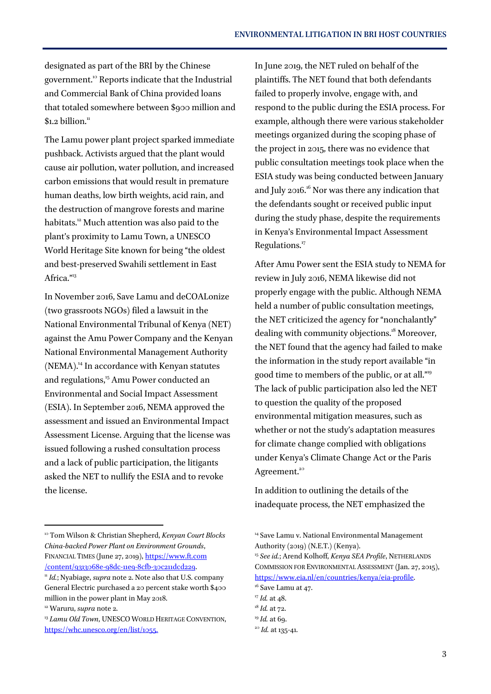designated as part of the BRI by the Chinese government.<sup>10</sup> Reports indicate that the Industrial and Commercial Bank of China provided loans that totaled somewhere between \$900 million and  $$1.2$  billion.<sup>11</sup>

The Lamu power plant project sparked immediate pushback. Activists argued that the plant would cause air pollution, water pollution, and increased carbon emissions that would result in premature human deaths, low birth weights, acid rain, and the destruction of mangrove forests and marine habitats.<sup>12</sup> Much attention was also paid to the plant's proximity to Lamu Town, a UNESCO World Heritage Site known for being "the oldest and best-preserved Swahili settlement in East Africa."<sup>13</sup>

In November 2016, Save Lamu and deCOALonize (two grassroots NGOs) filed a lawsuit in the National Environmental Tribunal of Kenya (NET) against the Amu Power Company and the Kenyan National Environmental Management Authority (NEMA).<sup>14</sup> In accordance with Kenyan statutes and regulations,<sup>15</sup> Amu Power conducted an Environmental and Social Impact Assessment (ESIA). In September 2016, NEMA approved the assessment and issued an Environmental Impact Assessment License. Arguing that the license was issued following a rushed consultation process and a lack of public participation, the litigants asked the NET to nullify the ESIA and to revoke the license.

<u>.</u>

In June 2019, the NET ruled on behalf of the plaintiffs. The NET found that both defendants failed to properly involve, engage with, and respond to the public during the ESIA process. For example, although there were various stakeholder meetings organized during the scoping phase of the project in 2015, there was no evidence that public consultation meetings took place when the ESIA study was being conducted between January and July 2016.<sup>16</sup> Nor was there any indication that the defendants sought or received public input during the study phase, despite the requirements in Kenya's Environmental Impact Assessment Regulations.<sup>17</sup>

After Amu Power sent the ESIA study to NEMA for review in July 2016, NEMA likewise did not properly engage with the public. Although NEMA held a number of public consultation meetings, the NET criticized the agency for "nonchalantly" dealing with community objections.<sup>18</sup> Moreover, the NET found that the agency had failed to make the information in the study report available "in good time to members of the public, or at all."<sup>19</sup> The lack of public participation also led the NET to question the quality of the proposed environmental mitigation measures, such as whether or not the study's adaptation measures for climate change complied with obligations under Kenya's Climate Change Act or the Paris Agreement.<sup>20</sup>

In addition to outlining the details of the inadequate process, the NET emphasized the

COMMISSION FOR ENVIRONMENTAL ASSESSMENT (Jan. 27, 2015), [https://www.eia.nl/en/countries/kenya/eia-profile.](https://www.eia.nl/en/countries/kenya/eia-profile) 

<sup>10</sup> Tom Wilson & Christian Shepherd, *Kenyan Court Blocks China-backed Power Plant on Environment Grounds*, FINANCIAL TIMES (June 27, 2019), [https://www.ft.com](https://www.ft.com/content/9313068e-98dc-11e9-8cfb-30c211dcd229) [/content/9313068e-98dc-11e9-8cfb-30c211dcd229.](https://www.ft.com/content/9313068e-98dc-11e9-8cfb-30c211dcd229)

<sup>11</sup> *Id.*; Nyabiage, *supra* not[e 2.](#page-0-0) Note also that U.S. company General Electric purchased a 20 percent stake worth \$400 million in the power plant in May 2018.

<sup>12</sup> Waruru, *supra* not[e 2.](#page-0-0)

<sup>&</sup>lt;sup>13</sup> Lamu Old Town, UNESCO WORLD HERITAGE CONVENTION, <https://whc.unesco.org/en/list/1055.>

<sup>&</sup>lt;sup>14</sup> Save Lamu v. National Environmental Management Authority (2019) (N.E.T.) (Kenya). <sup>15</sup> *See id.*; Arend Kolhoff, *Kenya SEA Profile*, NETHERLANDS

<sup>&</sup>lt;sup>16</sup> Save Lamu at 47.

<sup>17</sup> *Id.* at 48.

<sup>18</sup> *Id.* at 72.

<sup>19</sup> *Id.* at 69.

<sup>20</sup> *Id.* at 135-41.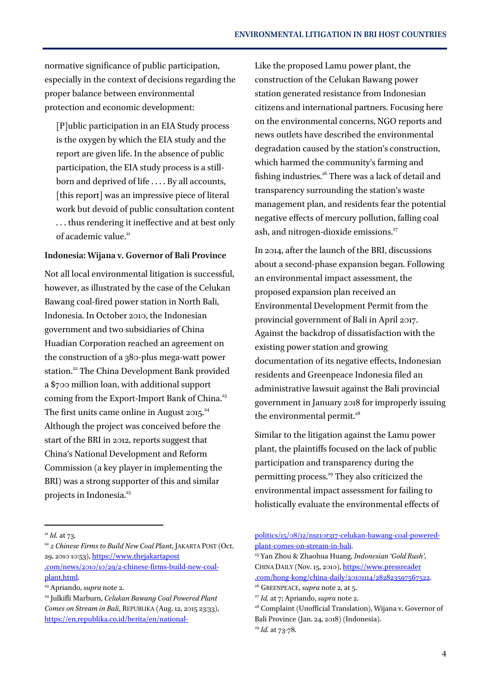normative significance of public participation, especially in the context of decisions regarding the proper balance between environmental protection and economic development:

[P]ublic participation in an EIA Study process is the oxygen by which the EIA study and the report are given life. In the absence of public participation, the EIA study process is a stillborn and deprived of life . . . . By all accounts, [this report] was an impressive piece of literal work but devoid of public consultation content . . . thus rendering it ineffective and at best only of academic value.<sup>21</sup>

#### **Indonesia: Wijana v. Governor of Bali Province**

Not all local environmental litigation is successful, however, as illustrated by the case of the Celukan Bawang coal-fired power station in North Bali, Indonesia. In October 2010, the Indonesian government and two subsidiaries of China Huadian Corporation reached an agreement on the construction of a 380-plus mega-watt power station.<sup>22</sup> The China Development Bank provided a \$700 million loan, with additional support coming from the Export-Import Bank of China.<sup>23</sup> The first units came online in August 2015. $24$ Although the project was conceived before the start of the BRI in 2012, reports suggest that China's National Development and Reform Commission (a key player in implementing the BRI) was a strong supporter of this and similar projects in Indonesia.<sup>25</sup>

Like the proposed Lamu power plant, the construction of the Celukan Bawang power station generated resistance from Indonesian citizens and international partners. Focusing here on the environmental concerns, NGO reports and news outlets have described the environmental degradation caused by the station's construction, which harmed the community's farming and fishing industries.<sup>26</sup> There was a lack of detail and transparency surrounding the station's waste management plan, and residents fear the potential negative effects of mercury pollution, falling coal ash, and nitrogen-dioxide emissions.<sup>27</sup>

In 2014, after the launch of the BRI, discussions about a second-phase expansion began. Following an environmental impact assessment, the proposed expansion plan received an Environmental Development Permit from the provincial government of Bali in April 2017. Against the backdrop of dissatisfaction with the existing power station and growing documentation of its negative effects, Indonesian residents and Greenpeace Indonesia filed an administrative lawsuit against the Bali provincial government in January 2018 for improperly issuing the environmental permit. $^{28}$ 

Similar to the litigation against the Lamu power plant, the plaintiffs focused on the lack of public participation and transparency during the permitting process.<sup>29</sup> They also criticized the environmental impact assessment for failing to holistically evaluate the environmental effects of

<u>.</u>

<sup>22</sup> *2 Chinese Firms to Build New Coal Plant*, JAKARTA POST (Oct. 29, 2010 10:53)[, https://www.thejakartapost](https://www.thejakartapost.com/news/2010/10/29/2-chinese-firms-build-new-coal-plant.html) [.com/news/2010/10/29/2-chinese-firms-build-new-coal](https://www.thejakartapost.com/news/2010/10/29/2-chinese-firms-build-new-coal-plant.html)[plant.html.](https://www.thejakartapost.com/news/2010/10/29/2-chinese-firms-build-new-coal-plant.html) 

<sup>23</sup> Apriando, *supra* not[e 2.](#page-0-0)

[politics/15/08/12/nsz10r317-celukan-bawang-coal-powered](https://en.republika.co.id/berita/en/national-politics/15/08/12/nsz10r317-celukan-bawang-coal-powered-plant-comes-on-stream-in-bali)[plant-comes-on-stream-in-bali.](https://en.republika.co.id/berita/en/national-politics/15/08/12/nsz10r317-celukan-bawang-coal-powered-plant-comes-on-stream-in-bali) 

<sup>21</sup> *Id.* at 73.

<sup>24</sup> Julkifli Marburn, *Celukan Bawang Coal Powered Plant Comes on Stream in Bali*, REPUBLIKA (Aug. 12, 2015 23:33), [https://en.republika.co.id/berita/en/national-](https://en.republika.co.id/berita/en/national-politics/15/08/12/nsz10r317-celukan-bawang-coal-powered-plant-comes-on-stream-in-bali)

<sup>25</sup> Yan Zhou & Zhaohua Huang, *Indonesian 'Gold Rush'*, CHINA DAILY (Nov. 15, 2010), [https://www.pressreader](https://www.pressreader.com/hong-kong/china-daily/20101114/282823597567522) [.com/hong-kong/china-daily/20101114/282823597567522.](https://www.pressreader.com/hong-kong/china-daily/20101114/282823597567522)  <sup>26</sup> GREENPEACE, *supra* not[e 2,](#page-0-0) at 5.

<sup>27</sup> *Id.* at 7; Apriando, *supra* not[e 2.](#page-0-0)

<sup>&</sup>lt;sup>28</sup> Complaint (Unofficial Translation), Wijana v. Governor of Bali Province (Jan. 24, 2018) (Indonesia). <sup>29</sup> *Id.* at 73-78.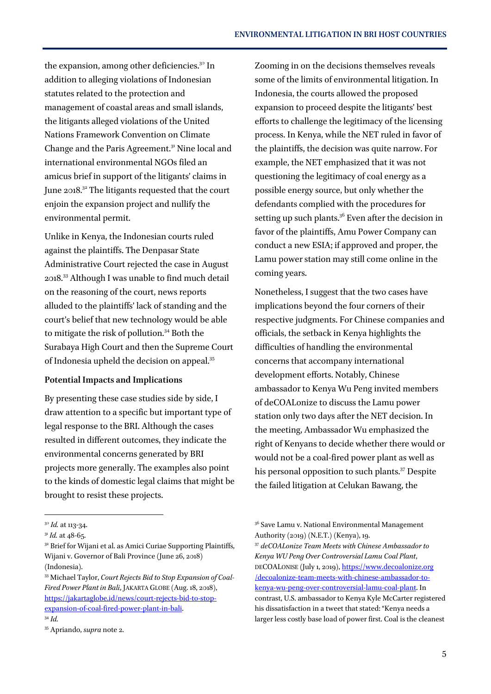the expansion, among other deficiencies.<sup>30</sup> In addition to alleging violations of Indonesian statutes related to the protection and management of coastal areas and small islands, the litigants alleged violations of the United Nations Framework Convention on Climate Change and the Paris Agreement.<sup>31</sup> Nine local and international environmental NGOs filed an amicus brief in support of the litigants' claims in June 2018.<sup>32</sup> The litigants requested that the court enjoin the expansion project and nullify the environmental permit.

Unlike in Kenya, the Indonesian courts ruled against the plaintiffs. The Denpasar State Administrative Court rejected the case in August 2018.<sup>33</sup> Although I was unable to find much detail on the reasoning of the court, news reports alluded to the plaintiffs' lack of standing and the court's belief that new technology would be able to mitigate the risk of pollution.<sup>34</sup> Both the Surabaya High Court and then the Supreme Court of Indonesia upheld the decision on appeal.<sup>35</sup>

#### **Potential Impacts and Implications**

By presenting these case studies side by side, I draw attention to a specific but important type of legal response to the BRI. Although the cases resulted in different outcomes, they indicate the environmental concerns generated by BRI projects more generally. The examples also point to the kinds of domestic legal claims that might be brought to resist these projects.

1

Zooming in on the decisions themselves reveals some of the limits of environmental litigation. In Indonesia, the courts allowed the proposed expansion to proceed despite the litigants' best efforts to challenge the legitimacy of the licensing process. In Kenya, while the NET ruled in favor of the plaintiffs, the decision was quite narrow. For example, the NET emphasized that it was not questioning the legitimacy of coal energy as a possible energy source, but only whether the defendants complied with the procedures for setting up such plants. $3^6$  Even after the decision in favor of the plaintiffs, Amu Power Company can conduct a new ESIA; if approved and proper, the Lamu power station may still come online in the coming years.

Nonetheless, I suggest that the two cases have implications beyond the four corners of their respective judgments. For Chinese companies and officials, the setback in Kenya highlights the difficulties of handling the environmental concerns that accompany international development efforts. Notably, Chinese ambassador to Kenya Wu Peng invited members of deCOALonize to discuss the Lamu power station only two days after the NET decision. In the meeting, Ambassador Wu emphasized the right of Kenyans to decide whether there would or would not be a coal-fired power plant as well as his personal opposition to such plants.<sup>37</sup> Despite the failed litigation at Celukan Bawang, the

<sup>30</sup> *Id.* at 113-34.

<sup>&</sup>lt;sup>31</sup> *Id.* at 48-65.

<sup>&</sup>lt;sup>32</sup> Brief for Wijani et al. as Amici Curiae Supporting Plaintiffs, Wijani v. Governor of Bali Province (June 26, 2018) (Indonesia).

<sup>33</sup> Michael Taylor, *Court Rejects Bid to Stop Expansion of Coal-Fired Power Plant in Bali*, JAKARTA GLOBE (Aug. 18, 2018), [https://jakartaglobe.id/news/court-rejects-bid-to-stop](https://jakartaglobe.id/news/court-rejects-bid-to-stop-expansion-of-coal-fired-power-plant-in-bali)[expansion-of-coal-fired-power-plant-in-bali.](https://jakartaglobe.id/news/court-rejects-bid-to-stop-expansion-of-coal-fired-power-plant-in-bali)  <sup>34</sup> *Id.*

<sup>35</sup> Apriando, *supra* not[e 2.](#page-0-0)

<sup>&</sup>lt;sup>36</sup> Save Lamu v. National Environmental Management Authority (2019) (N.E.T.) (Kenya), 19.

<sup>37</sup> *deCOALonize Team Meets with Chinese Ambassador to Kenya WU Peng Over Controversial Lamu Coal Plant*, DECOALONISE (July 1, 2019)[, https://www.decoalonize.org](https://www.decoalonize.org/decoalonize-team-meets-with-chinese-ambassador-to-kenya-wu-peng-over-controversial-lamu-coal-plant) [/decoalonize-team-meets-with-chinese-ambassador-to](https://www.decoalonize.org/decoalonize-team-meets-with-chinese-ambassador-to-kenya-wu-peng-over-controversial-lamu-coal-plant)[kenya-wu-peng-over-controversial-lamu-coal-plant.](https://www.decoalonize.org/decoalonize-team-meets-with-chinese-ambassador-to-kenya-wu-peng-over-controversial-lamu-coal-plant) In contrast, U.S. ambassador to Kenya Kyle McCarter registered his dissatisfaction in a tweet that stated: "Kenya needs a larger less costly base load of power first. Coal is the cleanest